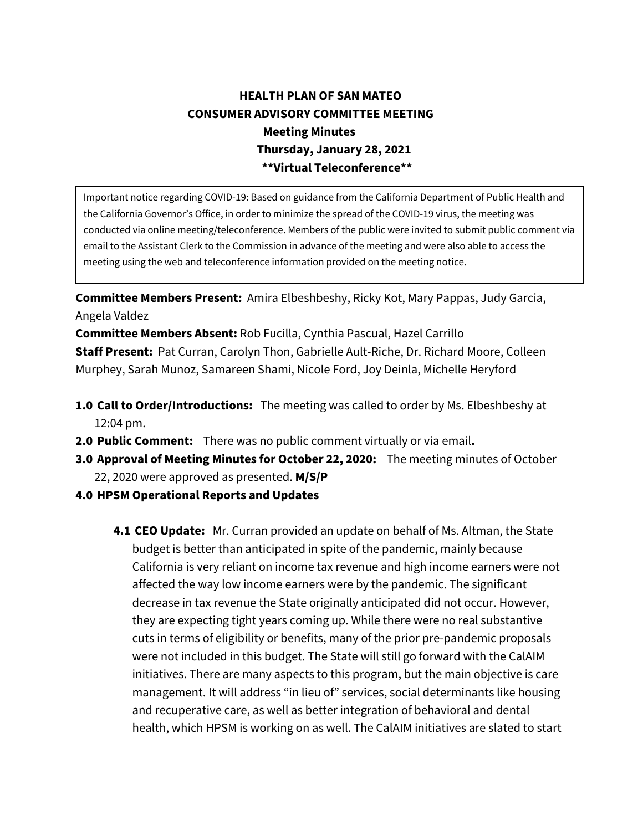## **HEALTH PLAN OF SAN MATEO CONSUMER ADVISORY COMMITTEE MEETING Meeting Minutes Thursday, January 28, 2021 \*\*Virtual Teleconference\*\***

Important notice regarding COVID-19: Based on guidance from the California Department of Public Health and the California Governor's Office, in order to minimize the spread of the COVID-19 virus, the meeting was conducted via online meeting/teleconference. Members of the public were invited to submit public comment via email to the Assistant Clerk to the Commission in advance of the meeting and were also able to access the meeting using the web and teleconference information provided on the meeting notice.

**Committee Members Present:** Amira Elbeshbeshy, Ricky Kot, Mary Pappas, Judy Garcia, Angela Valdez

**Committee Members Absent:** Rob Fucilla, Cynthia Pascual, Hazel Carrillo **Staff Present:** Pat Curran, Carolyn Thon, Gabrielle Ault-Riche, Dr. Richard Moore, Colleen Murphey, Sarah Munoz, Samareen Shami, Nicole Ford, Joy Deinla, Michelle Heryford

- **1.0 Call to Order/Introductions:** The meeting was called to order by Ms. Elbeshbeshy at 12:04 pm.
- **2.0 Public Comment:** There was no public comment virtually or via email**.**
- **3.0 Approval of Meeting Minutes for October 22, 2020:** The meeting minutes of October 22, 2020 were approved as presented. **M/S/P**
- **4.0 HPSM Operational Reports and Updates**
	- **4.1 CEO Update:** Mr. Curran provided an update on behalf of Ms. Altman, the State budget is better than anticipated in spite of the pandemic, mainly because California is very reliant on income tax revenue and high income earners were not affected the way low income earners were by the pandemic. The significant decrease in tax revenue the State originally anticipated did not occur. However, they are expecting tight years coming up. While there were no real substantive cuts in terms of eligibility or benefits, many of the prior pre-pandemic proposals were not included in this budget. The State will still go forward with the CalAIM initiatives. There are many aspects to this program, but the main objective is care management. It will address "in lieu of" services, social determinants like housing and recuperative care, as well as better integration of behavioral and dental health, which HPSM is working on as well. The CalAIM initiatives are slated to start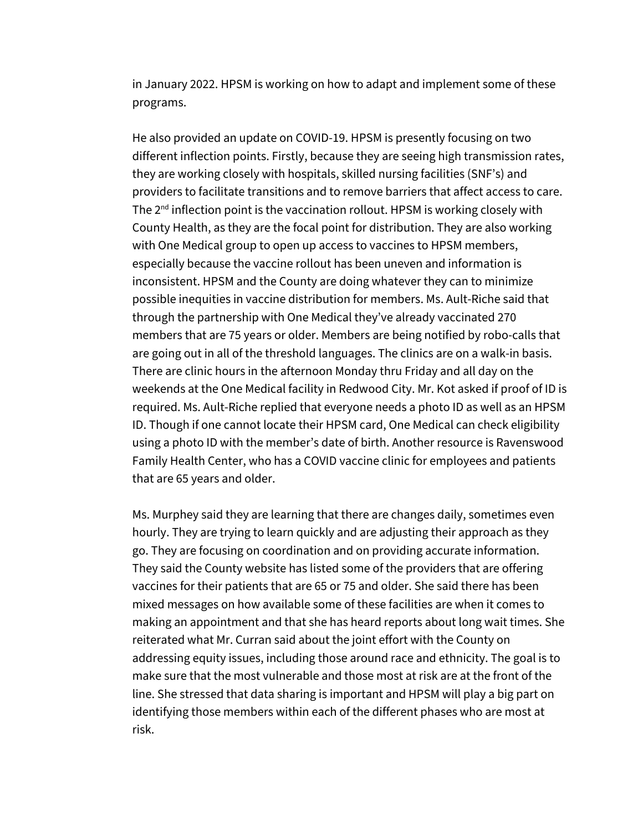in January 2022. HPSM is working on how to adapt and implement some of these programs.

He also provided an update on COVID-19. HPSM is presently focusing on two different inflection points. Firstly, because they are seeing high transmission rates, they are working closely with hospitals, skilled nursing facilities (SNF's) and providers to facilitate transitions and to remove barriers that affect access to care. The  $2<sup>nd</sup>$  inflection point is the vaccination rollout. HPSM is working closely with County Health, as they are the focal point for distribution. They are also working with One Medical group to open up access to vaccines to HPSM members, especially because the vaccine rollout has been uneven and information is inconsistent. HPSM and the County are doing whatever they can to minimize possible inequities in vaccine distribution for members. Ms. Ault-Riche said that through the partnership with One Medical they've already vaccinated 270 members that are 75 years or older. Members are being notified by robo-calls that are going out in all of the threshold languages. The clinics are on a walk-in basis. There are clinic hours in the afternoon Monday thru Friday and all day on the weekends at the One Medical facility in Redwood City. Mr. Kot asked if proof of ID is required. Ms. Ault-Riche replied that everyone needs a photo ID as well as an HPSM ID. Though if one cannot locate their HPSM card, One Medical can check eligibility using a photo ID with the member's date of birth. Another resource is Ravenswood Family Health Center, who has a COVID vaccine clinic for employees and patients that are 65 years and older.

Ms. Murphey said they are learning that there are changes daily, sometimes even hourly. They are trying to learn quickly and are adjusting their approach as they go. They are focusing on coordination and on providing accurate information. They said the County website has listed some of the providers that are offering vaccines for their patients that are 65 or 75 and older. She said there has been mixed messages on how available some of these facilities are when it comes to making an appointment and that she has heard reports about long wait times. She reiterated what Mr. Curran said about the joint effort with the County on addressing equity issues, including those around race and ethnicity. The goal is to make sure that the most vulnerable and those most at risk are at the front of the line. She stressed that data sharing is important and HPSM will play a big part on identifying those members within each of the different phases who are most at risk.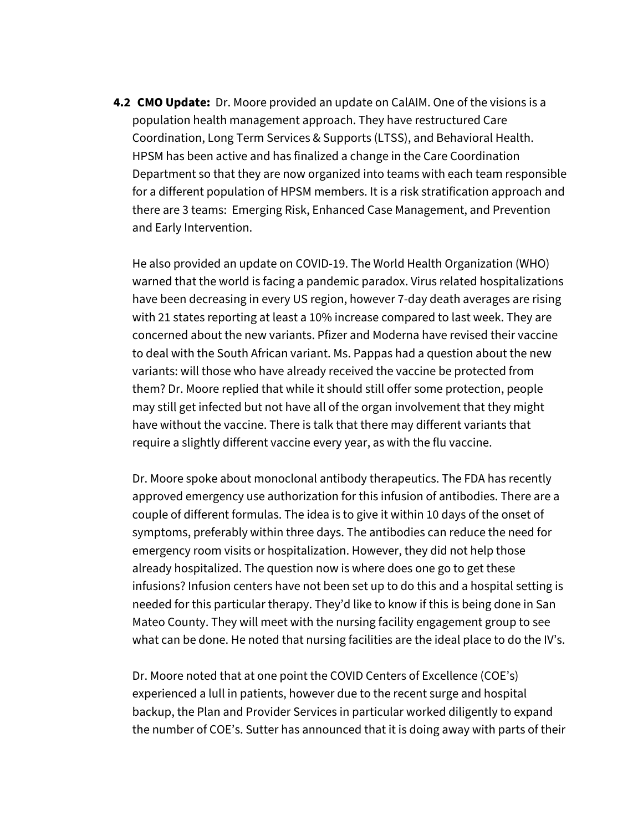**4.2 CMO Update:** Dr. Moore provided an update on CalAIM. One of the visions is a population health management approach. They have restructured Care Coordination, Long Term Services & Supports (LTSS), and Behavioral Health. HPSM has been active and has finalized a change in the Care Coordination Department so that they are now organized into teams with each team responsible for a different population of HPSM members. It is a risk stratification approach and there are 3 teams: Emerging Risk, Enhanced Case Management, and Prevention and Early Intervention.

He also provided an update on COVID-19. The World Health Organization (WHO) warned that the world is facing a pandemic paradox. Virus related hospitalizations have been decreasing in every US region, however 7-day death averages are rising with 21 states reporting at least a 10% increase compared to last week. They are concerned about the new variants. Pfizer and Moderna have revised their vaccine to deal with the South African variant. Ms. Pappas had a question about the new variants: will those who have already received the vaccine be protected from them? Dr. Moore replied that while it should still offer some protection, people may still get infected but not have all of the organ involvement that they might have without the vaccine. There is talk that there may different variants that require a slightly different vaccine every year, as with the flu vaccine.

Dr. Moore spoke about monoclonal antibody therapeutics. The FDA has recently approved emergency use authorization for this infusion of antibodies. There are a couple of different formulas. The idea is to give it within 10 days of the onset of symptoms, preferably within three days. The antibodies can reduce the need for emergency room visits or hospitalization. However, they did not help those already hospitalized. The question now is where does one go to get these infusions? Infusion centers have not been set up to do this and a hospital setting is needed for this particular therapy. They'd like to know if this is being done in San Mateo County. They will meet with the nursing facility engagement group to see what can be done. He noted that nursing facilities are the ideal place to do the IV's.

Dr. Moore noted that at one point the COVID Centers of Excellence (COE's) experienced a lull in patients, however due to the recent surge and hospital backup, the Plan and Provider Services in particular worked diligently to expand the number of COE's. Sutter has announced that it is doing away with parts of their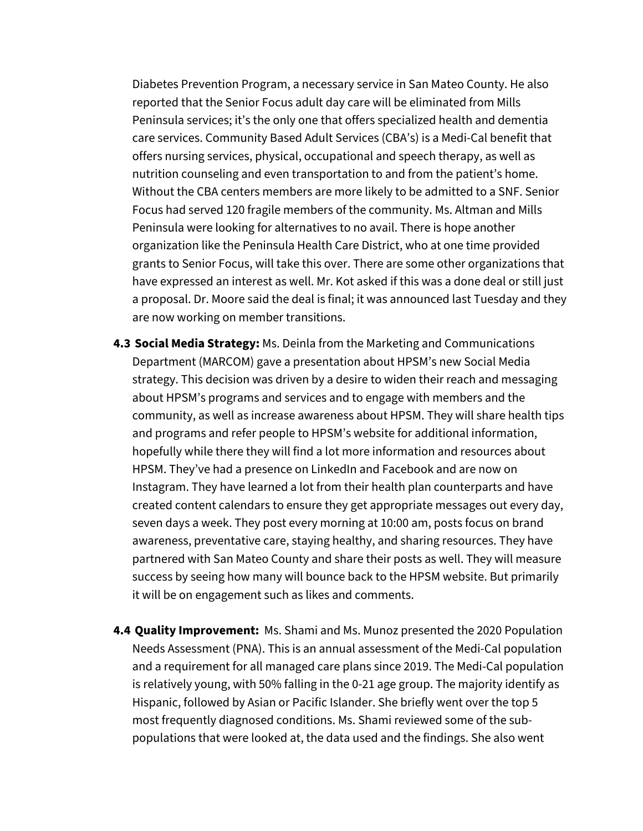Diabetes Prevention Program, a necessary service in San Mateo County. He also reported that the Senior Focus adult day care will be eliminated from Mills Peninsula services; it's the only one that offers specialized health and dementia care services. Community Based Adult Services (CBA's) is a Medi-Cal benefit that offers nursing services, physical, occupational and speech therapy, as well as nutrition counseling and even transportation to and from the patient's home. Without the CBA centers members are more likely to be admitted to a SNF. Senior Focus had served 120 fragile members of the community. Ms. Altman and Mills Peninsula were looking for alternatives to no avail. There is hope another organization like the Peninsula Health Care District, who at one time provided grants to Senior Focus, will take this over. There are some other organizations that have expressed an interest as well. Mr. Kot asked if this was a done deal or still just a proposal. Dr. Moore said the deal is final; it was announced last Tuesday and they are now working on member transitions.

- **4.3 Social Media Strategy:** Ms. Deinla from the Marketing and Communications Department (MARCOM) gave a presentation about HPSM's new Social Media strategy. This decision was driven by a desire to widen their reach and messaging about HPSM's programs and services and to engage with members and the community, as well as increase awareness about HPSM. They will share health tips and programs and refer people to HPSM's website for additional information, hopefully while there they will find a lot more information and resources about HPSM. They've had a presence on LinkedIn and Facebook and are now on Instagram. They have learned a lot from their health plan counterparts and have created content calendars to ensure they get appropriate messages out every day, seven days a week. They post every morning at 10:00 am, posts focus on brand awareness, preventative care, staying healthy, and sharing resources. They have partnered with San Mateo County and share their posts as well. They will measure success by seeing how many will bounce back to the HPSM website. But primarily it will be on engagement such as likes and comments.
- **4.4 Quality Improvement:** Ms. Shami and Ms. Munoz presented the 2020 Population Needs Assessment (PNA). This is an annual assessment of the Medi-Cal population and a requirement for all managed care plans since 2019. The Medi-Cal population is relatively young, with 50% falling in the 0-21 age group. The majority identify as Hispanic, followed by Asian or Pacific Islander. She briefly went over the top 5 most frequently diagnosed conditions. Ms. Shami reviewed some of the subpopulations that were looked at, the data used and the findings. She also went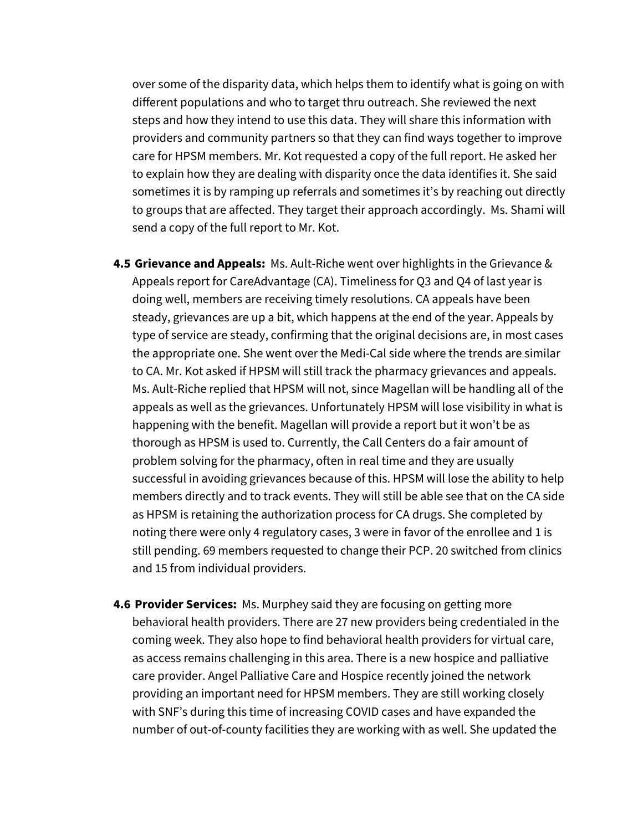over some of the disparity data, which helps them to identify what is going on with different populations and who to target thru outreach. She reviewed the next steps and how they intend to use this data. They will share this information with providers and community partners so that they can find ways together to improve care for HPSM members. Mr. Kot requested a copy of the full report. He asked her to explain how they are dealing with disparity once the data identifies it. She said sometimes it is by ramping up referrals and sometimes it's by reaching out directly to groups that are affected. They target their approach accordingly. Ms. Shami will send a copy of the full report to Mr. Kot.

- **4.5 Grievance and Appeals:** Ms. Ault-Riche went over highlights in the Grievance & Appeals report for CareAdvantage (CA). Timeliness for Q3 and Q4 of last year is doing well, members are receiving timely resolutions. CA appeals have been steady, grievances are up a bit, which happens at the end of the year. Appeals by type of service are steady, confirming that the original decisions are, in most cases the appropriate one. She went over the Medi-Cal side where the trends are similar to CA. Mr. Kot asked if HPSM will still track the pharmacy grievances and appeals. Ms. Ault-Riche replied that HPSM will not, since Magellan will be handling all of the appeals as well as the grievances. Unfortunately HPSM will lose visibility in what is happening with the benefit. Magellan will provide a report but it won't be as thorough as HPSM is used to. Currently, the Call Centers do a fair amount of problem solving for the pharmacy, often in real time and they are usually successful in avoiding grievances because of this. HPSM will lose the ability to help members directly and to track events. They will still be able see that on the CA side as HPSM is retaining the authorization process for CA drugs. She completed by noting there were only 4 regulatory cases, 3 were in favor of the enrollee and 1 is still pending. 69 members requested to change their PCP. 20 switched from clinics and 15 from individual providers.
- **4.6 Provider Services:** Ms. Murphey said they are focusing on getting more behavioral health providers. There are 27 new providers being credentialed in the coming week. They also hope to find behavioral health providers for virtual care, as access remains challenging in this area. There is a new hospice and palliative care provider. Angel Palliative Care and Hospice recently joined the network providing an important need for HPSM members. They are still working closely with SNF's during this time of increasing COVID cases and have expanded the number of out-of-county facilities they are working with as well. She updated the